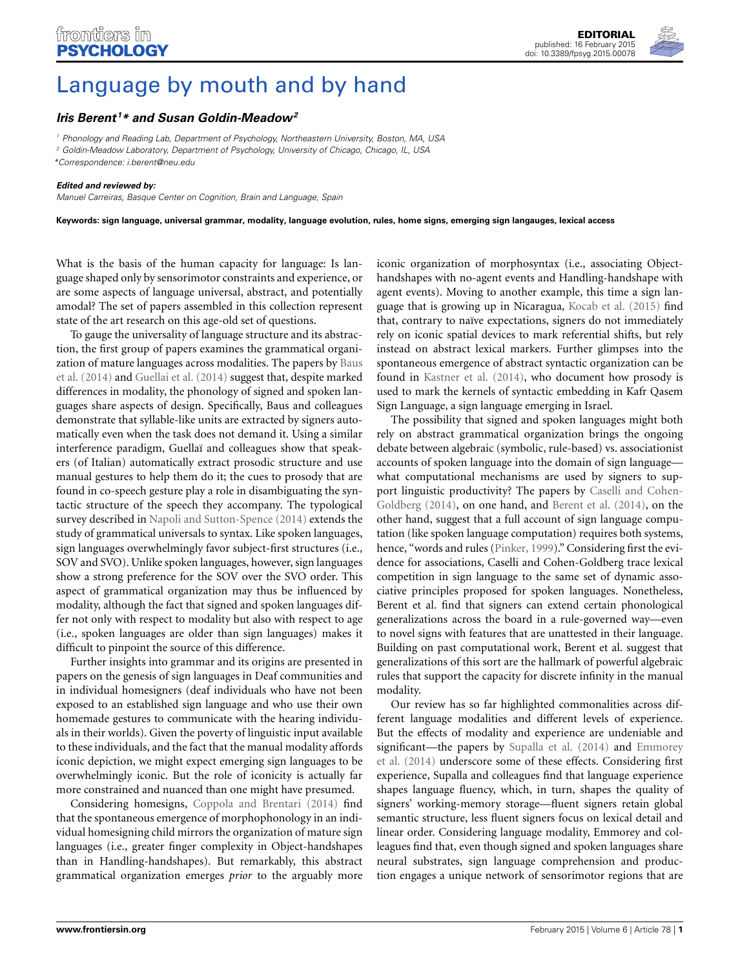

## [Language by mouth and by hand](http://www.frontiersin.org/journal/10.3389/fpsyg.2015.00078/full)

## *[Iris Berent](http://community.frontiersin.org/people/u/30518) <sup>1</sup> \* and [Susan Goldin-Meadow](http://community.frontiersin.org/people/u/9603)2*

*<sup>1</sup> Phonology and Reading Lab, Department of Psychology, Northeastern University, Boston, MA, USA <sup>2</sup> Goldin-Meadow Laboratory, Department of Psychology, University of Chicago, Chicago, IL, USA*

*\*Correspondence: [i.berent@neu.edu](mailto:i.berent@neu.edu)*

## *Edited and reviewed by:*

frontiers in **PSYCHOLOGY** 

*Manuel Carreiras, Basque Center on Cognition, Brain and Language, Spain*

**Keywords: sign language, universal grammar, modality, language evolution, rules, home signs, emerging sign langauges, lexical access**

What is the basis of the human capacity for language: Is language shaped only by sensorimotor constraints and experience, or are some aspects of language universal, abstract, and potentially amodal? The set of papers assembled in this collection represent state of the art research on this age-old set of questions.

To gauge the universality of language structure and its abstraction, the first group of papers examines the grammatical organizati[on of mature languages across modalities. The papers by](#page-1-0) Baus et al. [\(2014\)](#page-1-0) and [Guellai et al.](#page-1-1) [\(2014\)](#page-1-1) suggest that, despite marked differences in modality, the phonology of signed and spoken languages share aspects of design. Specifically, Baus and colleagues demonstrate that syllable-like units are extracted by signers automatically even when the task does not demand it. Using a similar interference paradigm, Guellaï and colleagues show that speakers (of Italian) automatically extract prosodic structure and use manual gestures to help them do it; the cues to prosody that are found in co-speech gesture play a role in disambiguating the syntactic structure of the speech they accompany. The typological survey described in [Napoli and Sutton-Spence](#page-1-2) [\(2014\)](#page-1-2) extends the study of grammatical universals to syntax. Like spoken languages, sign languages overwhelmingly favor subject-first structures (i.e., SOV and SVO). Unlike spoken languages, however, sign languages show a strong preference for the SOV over the SVO order. This aspect of grammatical organization may thus be influenced by modality, although the fact that signed and spoken languages differ not only with respect to modality but also with respect to age (i.e., spoken languages are older than sign languages) makes it difficult to pinpoint the source of this difference.

Further insights into grammar and its origins are presented in papers on the genesis of sign languages in Deaf communities and in individual homesigners (deaf individuals who have not been exposed to an established sign language and who use their own homemade gestures to communicate with the hearing individuals in their worlds). Given the poverty of linguistic input available to these individuals, and the fact that the manual modality affords iconic depiction, we might expect emerging sign languages to be overwhelmingly iconic. But the role of iconicity is actually far more constrained and nuanced than one might have presumed.

Considering homesigns, [Coppola and Brentari](#page-1-3) [\(2014](#page-1-3)) find that the spontaneous emergence of morphophonology in an individual homesigning child mirrors the organization of mature sign languages (i.e., greater finger complexity in Object-handshapes than in Handling-handshapes). But remarkably, this abstract grammatical organization emerges *prior* to the arguably more

iconic organization of morphosyntax (i.e., associating Objecthandshapes with no-agent events and Handling-handshape with agent events). Moving to another example, this time a sign language that is growing up in Nicaragua, [Kocab et al.](#page-1-4) [\(2015\)](#page-1-4) find that, contrary to naïve expectations, signers do not immediately rely on iconic spatial devices to mark referential shifts, but rely instead on abstract lexical markers. Further glimpses into the spontaneous emergence of abstract syntactic organization can be found in [Kastner et al.](#page-1-5) [\(2014](#page-1-5)), who document how prosody is used to mark the kernels of syntactic embedding in Kafr Qasem Sign Language, a sign language emerging in Israel.

The possibility that signed and spoken languages might both rely on abstract grammatical organization brings the ongoing debate between algebraic (symbolic, rule-based) vs. associationist accounts of spoken language into the domain of sign language what computational mechanisms are used by signers to support ling[uistic productivity? The papers by](#page-1-6) Caselli and Cohen-Goldberg [\(2014\)](#page-1-6), on one hand, and [Berent et al.](#page-1-7) [\(2014](#page-1-7)), on the other hand, suggest that a full account of sign language computation (like spoken language computation) requires both systems, hence, "words and rules [\(Pinker](#page-1-8), [1999](#page-1-8))." Considering first the evidence for associations, Caselli and Cohen-Goldberg trace lexical competition in sign language to the same set of dynamic associative principles proposed for spoken languages. Nonetheless, Berent et al. find that signers can extend certain phonological generalizations across the board in a rule-governed way—even to novel signs with features that are unattested in their language. Building on past computational work, Berent et al. suggest that generalizations of this sort are the hallmark of powerful algebraic rules that support the capacity for discrete infinity in the manual modality.

Our review has so far highlighted commonalities across different language modalities and different levels of experience. But the effects of modality and experience are undeniable and signi[ficant—the papers by](#page-1-10) [Supalla et al.](#page-1-9) [\(2014\)](#page-1-9) and Emmorey et al. [\(2014](#page-1-10)) underscore some of these effects. Considering first experience, Supalla and colleagues find that language experience shapes language fluency, which, in turn, shapes the quality of signers' working-memory storage—fluent signers retain global semantic structure, less fluent signers focus on lexical detail and linear order. Considering language modality, Emmorey and colleagues find that, even though signed and spoken languages share neural substrates, sign language comprehension and production engages a unique network of sensorimotor regions that are